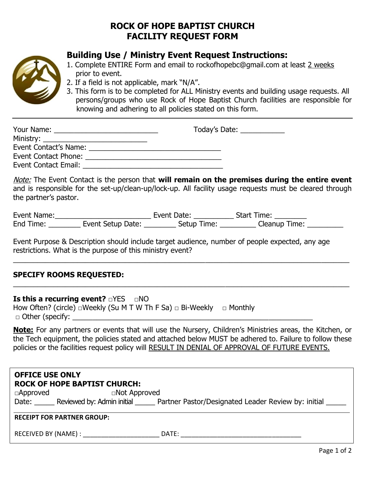## **ROCK OF HOPE BAPTIST CHURCH FACILITY REQUEST FORM**



## **Building Use / Ministry Event Request Instructions:**

- 1. Complete ENTIRE Form and email to rockofhopebc@gmail.com at least 2 weeks prior to event.
- 2. If a field is not applicable, mark "N/A".
- 3. This form is to be completed for ALL Ministry events and building usage requests. All persons/groups who use Rock of Hope Baptist Church facilities are responsible for knowing and adhering to all policies stated on this form.

| Your Name:            | Today's Date: <u>New York Barner and Barner</u> |
|-----------------------|-------------------------------------------------|
|                       |                                                 |
| Event Contact's Name: |                                                 |
| Event Contact Phone:  |                                                 |
| Event Contact Email:  |                                                 |

Note: The Event Contact is the person that **will remain on the premises during the entire event**  and is responsible for the set-up/clean-up/lock-up. All facility usage requests must be cleared through the partner's pastor.

| Event Name: |                   | Event Date: | <b>Start Time:</b> |  |
|-------------|-------------------|-------------|--------------------|--|
| End Time:   | Event Setup Date: | Setup Time: | Cleanup Time:      |  |

\_\_\_\_\_\_\_\_\_\_\_\_\_\_\_\_\_\_\_\_\_\_\_\_\_\_\_\_\_\_\_\_\_\_\_\_\_\_\_\_\_\_\_\_\_\_\_\_\_\_\_\_\_\_\_\_\_\_\_\_\_\_\_\_\_\_\_\_\_\_\_\_\_\_\_\_\_\_\_\_\_\_\_\_

\_\_\_\_\_\_\_\_\_\_\_\_\_\_\_\_\_\_\_\_\_\_\_\_\_\_\_\_\_\_\_\_\_\_\_\_\_\_\_\_\_\_\_\_\_\_\_\_\_\_\_\_\_\_\_\_\_\_\_\_\_\_\_\_\_\_\_\_\_\_\_\_\_\_\_\_\_\_\_\_\_\_\_\_

Event Purpose & Description should include target audience, number of people expected, any age restrictions. What is the purpose of this ministry event?

## **SPECIFY ROOMS REQUESTED:**

**Is this a recurring event?** □YES □NO

How Often? (circle)  $\Box$  Weekly (Su M T W Th F Sa)  $\Box$  Bi-Weekly  $\Box$  Monthly  $\Box$  Other (specify:

**Note:** For any partners or events that will use the Nursery, Children's Ministries areas, the Kitchen, or the Tech equipment, the policies stated and attached below MUST be adhered to. Failure to follow these policies or the facilities request policy will RESULT IN DENIAL OF APPROVAL OF FUTURE EVENTS.

| <b>OFFICE USE ONLY</b><br><b>ROCK OF HOPE BAPTIST CHURCH:</b> |                     |                                                                                      |  |
|---------------------------------------------------------------|---------------------|--------------------------------------------------------------------------------------|--|
| $\Box$ Approved                                               | $\Box$ Not Approved |                                                                                      |  |
|                                                               |                     | Date: Reviewed by: Admin initial Partner Pastor/Designated Leader Review by: initial |  |
| <b>RECEIPT FOR PARTNER GROUP:</b>                             |                     |                                                                                      |  |
| RECEIVED BY (NAME) :                                          |                     | DATE:                                                                                |  |